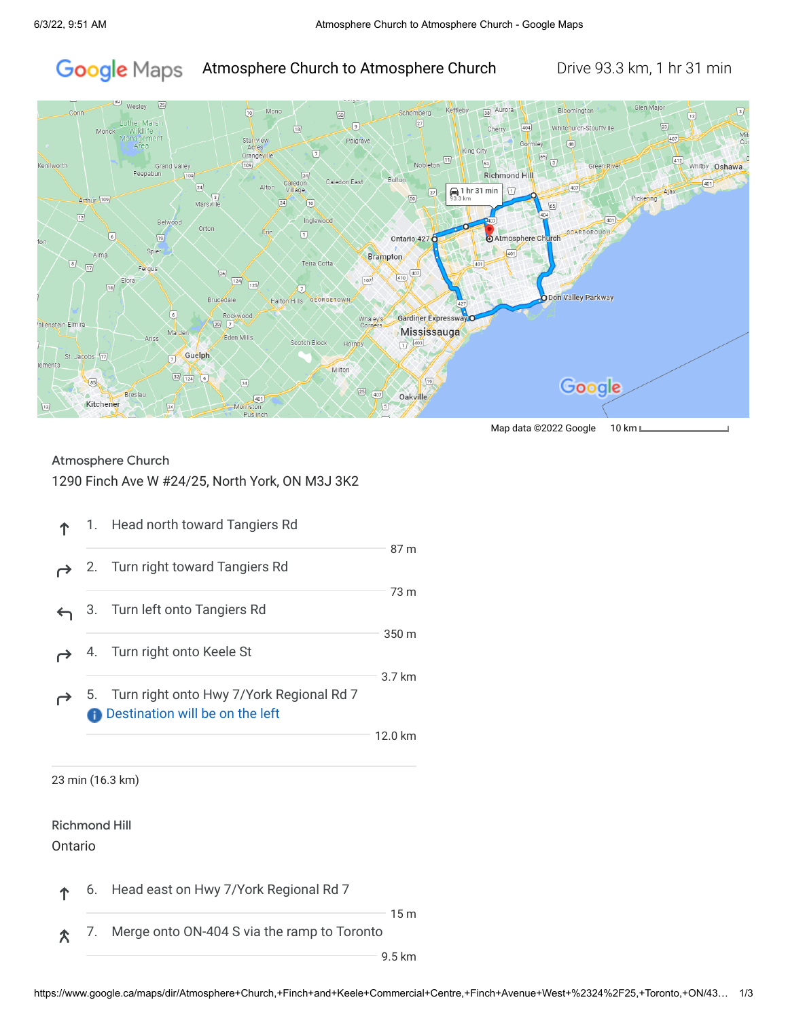#### Google Maps Atmosphere Church to Atmosphere Church Drive 93.3 km, 1 hr 31 min



Map data ©2022 Google 10 km L

### Atmosphere Church

### 1290 Finch Ave W #24/25, North York, ON M3J 3K2

|  | 1. Head north toward Tangiers Rd                                                        |         |
|--|-----------------------------------------------------------------------------------------|---------|
|  | 2. Turn right toward Tangiers Rd                                                        | 87 m    |
|  | 3. Turn left onto Tangiers Rd                                                           | 73 m    |
|  | 4. Turn right onto Keele St                                                             | 350 m   |
|  | 5. Turn right onto Hwy 7/York Regional Rd 7<br><b>A</b> Destination will be on the left | 3.7 km  |
|  |                                                                                         | 12.0 km |
|  | 23 min (16.3 km)                                                                        |         |

Richmond Hill

Ontario

6. Head east on Hwy 7/York Regional Rd 7 ሳ

15 m

7. Merge onto ON-404 S via the ramp to Toronto 仌

9.5 km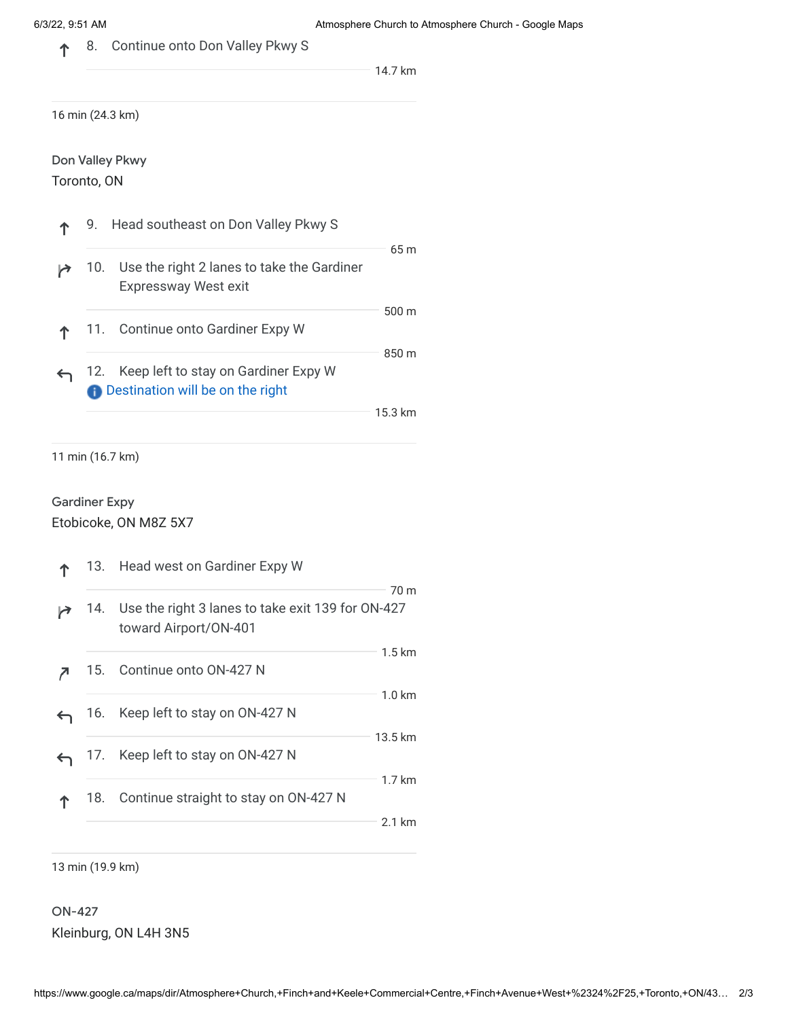8. Continue onto Don Valley Pkwy S 个

14.7 km

16 min (24.3 km)

Don Valley Pkwy

Toronto, ON

|  | 9. Head southeast on Don Valley Pkwy S                                                |                 |
|--|---------------------------------------------------------------------------------------|-----------------|
|  | 10. Use the right 2 lanes to take the Gardiner<br><b>Expressway West exit</b>         | 65 <sub>m</sub> |
|  | 11. Continue onto Gardiner Expy W                                                     | $500 \text{ m}$ |
|  | 12. Keep left to stay on Gardiner Expy W<br><b>A</b> Destination will be on the right | 850 m           |
|  |                                                                                       | 15.3k           |

11 min (16.7 km)

# Gardiner Expy

Etobicoke, ON M8Z 5X7

|     | 13. Head west on Gardiner Expy W                                               |                            |  |
|-----|--------------------------------------------------------------------------------|----------------------------|--|
|     | 14. Use the right 3 lanes to take exit 139 for ON-427<br>toward Airport/ON-401 | 70 m                       |  |
|     | 15. Continue onto ON-427 N                                                     | $1.5 \mathrm{km}$          |  |
|     | 16. Keep left to stay on ON-427 N                                              | $1.0 \text{ km}$           |  |
|     | 17. Keep left to stay on ON-427 N                                              | 13.5 km                    |  |
| 18. | Continue straight to stay on ON-427 N                                          | $1.7 \text{ km}$<br>2.1 km |  |
|     |                                                                                |                            |  |

13 min (19.9 km)

ON-427 Kleinburg, ON L4H 3N5